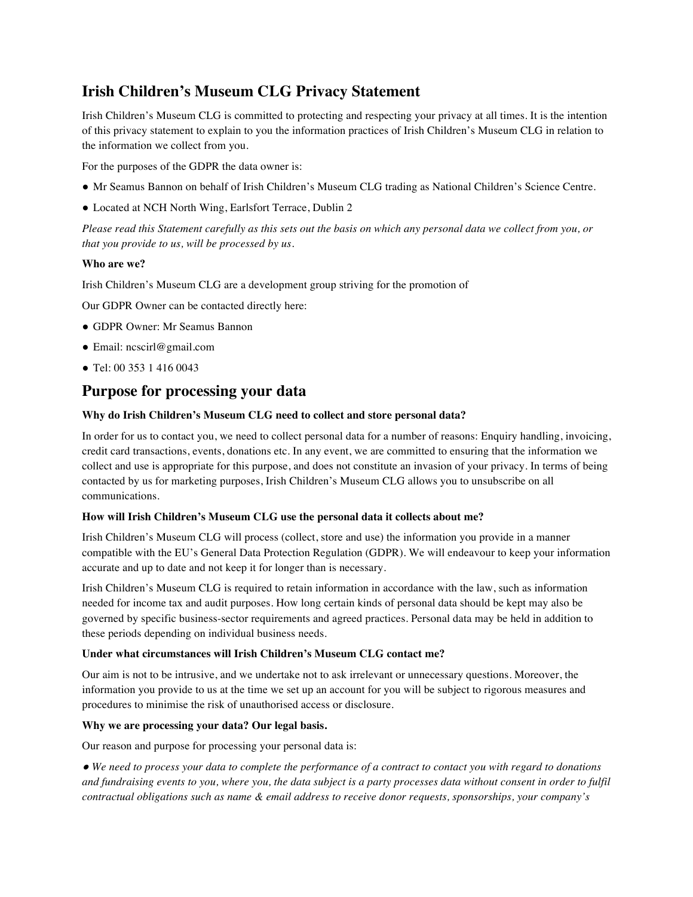# **Irish Children's Museum CLG Privacy Statement**

Irish Children's Museum CLG is committed to protecting and respecting your privacy at all times. It is the intention of this privacy statement to explain to you the information practices of Irish Children's Museum CLG in relation to the information we collect from you.

For the purposes of the GDPR the data owner is:

- Mr Seamus Bannon on behalf of Irish Children's Museum CLG trading as National Children's Science Centre.
- Located at NCH North Wing, Earlsfort Terrace, Dublin 2

*Please read this Statement carefully as this sets out the basis on which any personal data we collect from you, or that you provide to us, will be processed by us.*

## **Who are we?**

Irish Children's Museum CLG are a development group striving for the promotion of

Our GDPR Owner can be contacted directly here:

- GDPR Owner: Mr Seamus Bannon
- Email: ncscirl@gmail.com
- Tel: 00 353 1 416 0043

# **Purpose for processing your data**

## **Why do Irish Children's Museum CLG need to collect and store personal data?**

In order for us to contact you, we need to collect personal data for a number of reasons: Enquiry handling, invoicing, credit card transactions, events, donations etc. In any event, we are committed to ensuring that the information we collect and use is appropriate for this purpose, and does not constitute an invasion of your privacy. In terms of being contacted by us for marketing purposes, Irish Children's Museum CLG allows you to unsubscribe on all communications.

## **How will Irish Children's Museum CLG use the personal data it collects about me?**

Irish Children's Museum CLG will process (collect, store and use) the information you provide in a manner compatible with the EU's General Data Protection Regulation (GDPR). We will endeavour to keep your information accurate and up to date and not keep it for longer than is necessary.

Irish Children's Museum CLG is required to retain information in accordance with the law, such as information needed for income tax and audit purposes. How long certain kinds of personal data should be kept may also be governed by specific business-sector requirements and agreed practices. Personal data may be held in addition to these periods depending on individual business needs.

## **Under what circumstances will Irish Children's Museum CLG contact me?**

Our aim is not to be intrusive, and we undertake not to ask irrelevant or unnecessary questions. Moreover, the information you provide to us at the time we set up an account for you will be subject to rigorous measures and procedures to minimise the risk of unauthorised access or disclosure.

## **Why we are processing your data? Our legal basis.**

Our reason and purpose for processing your personal data is:

● *We need to process your data to complete the performance of a contract to contact you with regard to donations and fundraising events to you, where you, the data subject is a party processes data without consent in order to fulfil contractual obligations such as name & email address to receive donor requests, sponsorships, your company's*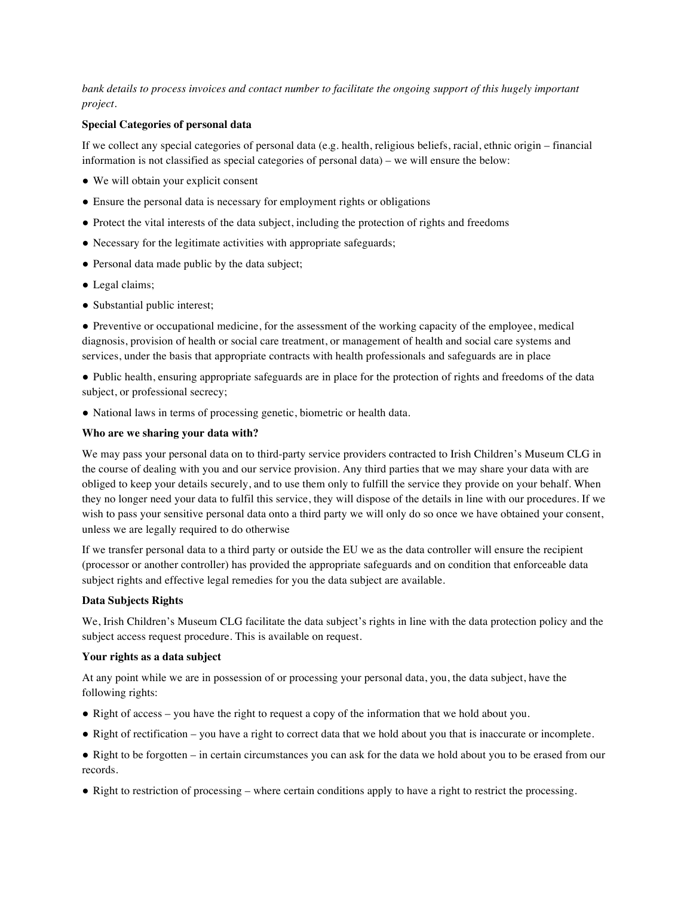*bank details to process invoices and contact number to facilitate the ongoing support of this hugely important project.*

#### **Special Categories of personal data**

If we collect any special categories of personal data (e.g. health, religious beliefs, racial, ethnic origin – financial information is not classified as special categories of personal data) – we will ensure the below:

- We will obtain your explicit consent
- Ensure the personal data is necessary for employment rights or obligations
- Protect the vital interests of the data subject, including the protection of rights and freedoms
- Necessary for the legitimate activities with appropriate safeguards;
- Personal data made public by the data subject;
- Legal claims;
- Substantial public interest;

● Preventive or occupational medicine, for the assessment of the working capacity of the employee, medical diagnosis, provision of health or social care treatment, or management of health and social care systems and services, under the basis that appropriate contracts with health professionals and safeguards are in place

● Public health, ensuring appropriate safeguards are in place for the protection of rights and freedoms of the data subject, or professional secrecy;

● National laws in terms of processing genetic, biometric or health data.

#### **Who are we sharing your data with?**

We may pass your personal data on to third-party service providers contracted to Irish Children's Museum CLG in the course of dealing with you and our service provision. Any third parties that we may share your data with are obliged to keep your details securely, and to use them only to fulfill the service they provide on your behalf. When they no longer need your data to fulfil this service, they will dispose of the details in line with our procedures. If we wish to pass your sensitive personal data onto a third party we will only do so once we have obtained your consent, unless we are legally required to do otherwise

If we transfer personal data to a third party or outside the EU we as the data controller will ensure the recipient (processor or another controller) has provided the appropriate safeguards and on condition that enforceable data subject rights and effective legal remedies for you the data subject are available.

#### **Data Subjects Rights**

We, Irish Children's Museum CLG facilitate the data subject's rights in line with the data protection policy and the subject access request procedure. This is available on request.

#### **Your rights as a data subject**

At any point while we are in possession of or processing your personal data, you, the data subject, have the following rights:

- Right of access you have the right to request a copy of the information that we hold about you.
- Right of rectification you have a right to correct data that we hold about you that is inaccurate or incomplete.
- Right to be forgotten in certain circumstances you can ask for the data we hold about you to be erased from our records.
- Right to restriction of processing where certain conditions apply to have a right to restrict the processing.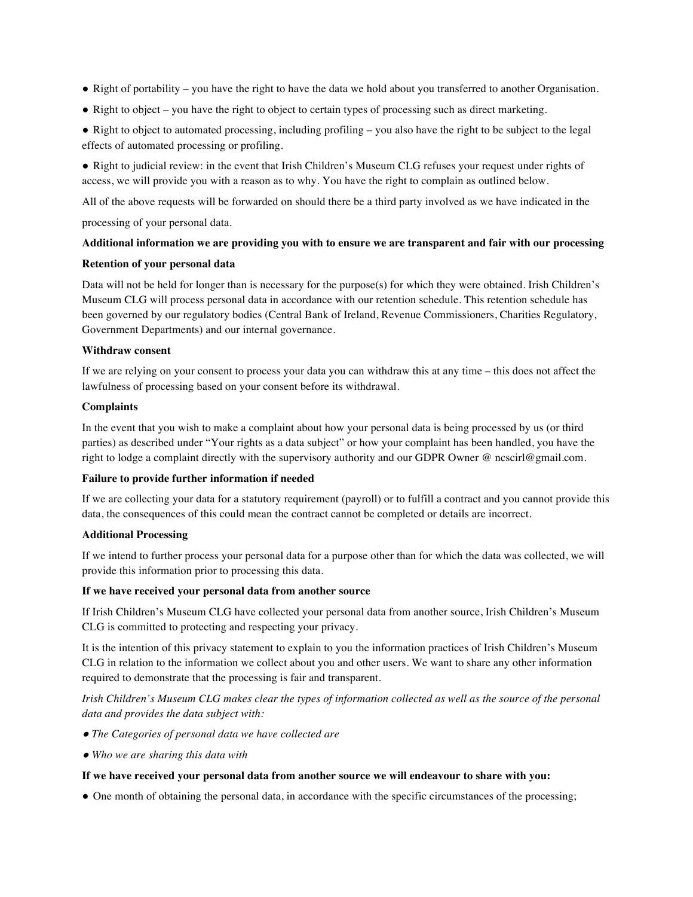- Right of portability you have the right to have the data we hold about you transferred to another Organisation.
- Right to object you have the right to object to certain types of processing such as direct marketing.

● Right to object to automated processing, including profiling – you also have the right to be subject to the legal effects of automated processing or profiling.

● Right to judicial review: in the event that Irish Children's Museum CLG refuses your request under rights of access, we will provide you with a reason as to why. You have the right to complain as outlined below.

All of the above requests will be forwarded on should there be a third party involved as we have indicated in the

processing of your personal data.

## **Additional information we are providing you with to ensure we are transparent and fair with our processing**

#### **Retention of your personal data**

Data will not be held for longer than is necessary for the purpose(s) for which they were obtained. Irish Children's Museum CLG will process personal data in accordance with our retention schedule. This retention schedule has been governed by our regulatory bodies (Central Bank of Ireland, Revenue Commissioners, Charities Regulatory, Government Departments) and our internal governance.

### **Withdraw consent**

If we are relying on your consent to process your data you can withdraw this at any time – this does not affect the lawfulness of processing based on your consent before its withdrawal.

### **Complaints**

In the event that you wish to make a complaint about how your personal data is being processed by us (or third parties) as described under "Your rights as a data subject" or how your complaint has been handled, you have the right to lodge a complaint directly with the supervisory authority and our GDPR Owner @ ncscirl@gmail.com.

## **Failure to provide further information if needed**

If we are collecting your data for a statutory requirement (payroll) or to fulfill a contract and you cannot provide this data, the consequences of this could mean the contract cannot be completed or details are incorrect.

#### **Additional Processing**

If we intend to further process your personal data for a purpose other than for which the data was collected, we will provide this information prior to processing this data.

#### **If we have received your personal data from another source**

If Irish Children's Museum CLG have collected your personal data from another source, Irish Children's Museum CLG is committed to protecting and respecting your privacy.

It is the intention of this privacy statement to explain to you the information practices of Irish Children's Museum CLG in relation to the information we collect about you and other users. We want to share any other information required to demonstrate that the processing is fair and transparent.

*Irish Children's Museum CLG makes clear the types of information collected as well as the source of the personal data and provides the data subject with:*

- ● *The Categories of personal data we have collected are*
- ● *Who we are sharing this data with*

#### **If we have received your personal data from another source we will endeavour to share with you:**

● One month of obtaining the personal data, in accordance with the specific circumstances of the processing;